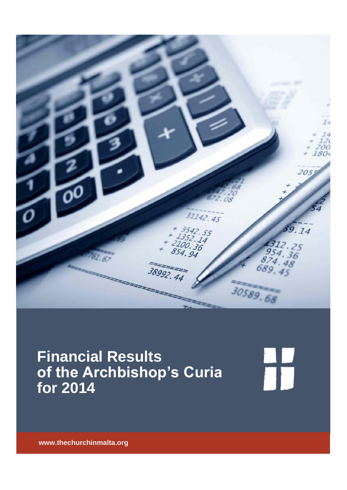

# **Financial Results of the Archbishop's Curia for 2014**

H

**www.thechurchinmalta.org**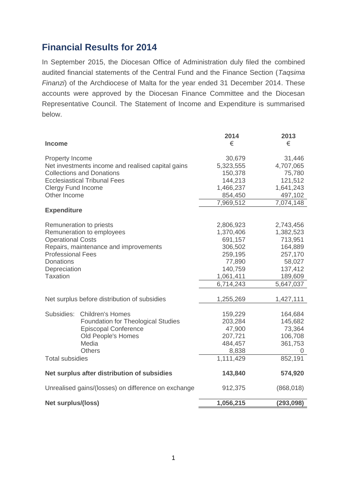# **Financial Results for 2014**

In September 2015, the Diocesan Office of Administration duly filed the combined audited financial statements of the Central Fund and the Finance Section (*Taqsima Finanzi*) of the Archdiocese of Malta for the year ended 31 December 2014. These accounts were approved by the Diocesan Finance Committee and the Diocesan Representative Council. The Statement of Income and Expenditure is summarised below.

|                                                                                       |                                                                      | 2014                 | 2013                |
|---------------------------------------------------------------------------------------|----------------------------------------------------------------------|----------------------|---------------------|
| <b>Income</b>                                                                         |                                                                      | €                    | €                   |
|                                                                                       |                                                                      |                      |                     |
| Property Income                                                                       |                                                                      | 30,679               | 31,446              |
| Net investments income and realised capital gains<br><b>Collections and Donations</b> |                                                                      | 5,323,555<br>150,378 | 4,707,065<br>75,780 |
| <b>Ecclesiastical Tribunal Fees</b>                                                   |                                                                      | 144,213              | 121,512             |
| <b>Clergy Fund Income</b>                                                             |                                                                      | 1,466,237            | 1,641,243           |
| Other Income                                                                          |                                                                      | 854,450              | 497,102             |
|                                                                                       |                                                                      | 7,969,512            | 7,074,148           |
| <b>Expenditure</b>                                                                    |                                                                      |                      |                     |
|                                                                                       |                                                                      |                      |                     |
| Remuneration to priests                                                               |                                                                      | 2,806,923            | 2,743,456           |
| Remuneration to employees                                                             |                                                                      | 1,370,406            | 1,382,523           |
| <b>Operational Costs</b>                                                              |                                                                      | 691,157              | 713,951             |
| Repairs, maintenance and improvements                                                 |                                                                      | 306,502              | 164,889             |
| <b>Professional Fees</b>                                                              |                                                                      | 259,195              | 257,170             |
| Donations<br>Depreciation                                                             |                                                                      | 77,890<br>140,759    | 58,027              |
| <b>Taxation</b>                                                                       |                                                                      | 1,061,411            | 137,412<br>189,609  |
|                                                                                       |                                                                      | 6,714,243            | 5,647,037           |
|                                                                                       |                                                                      |                      |                     |
| Net surplus before distribution of subsidies                                          |                                                                      | 1,255,269            | 1,427,111           |
|                                                                                       |                                                                      |                      |                     |
| Subsidies:                                                                            | <b>Children's Homes</b><br><b>Foundation for Theological Studies</b> | 159,229<br>203,284   | 164,684<br>145,682  |
|                                                                                       | <b>Episcopal Conference</b>                                          | 47,900               | 73,364              |
|                                                                                       | Old People's Homes                                                   | 207,721              | 106,708             |
|                                                                                       | Media                                                                | 484,457              | 361,753             |
|                                                                                       | <b>Others</b>                                                        | 8,838                | U                   |
| <b>Total subsidies</b>                                                                |                                                                      | 1,111,429            | 852,191             |
| Net surplus after distribution of subsidies                                           |                                                                      | 143,840              | 574,920             |
|                                                                                       |                                                                      |                      |                     |
| Unrealised gains/(losses) on difference on exchange                                   |                                                                      | 912,375              | (868, 018)          |
| <b>Net surplus/(loss)</b>                                                             |                                                                      | 1,056,215            | (293,098)           |